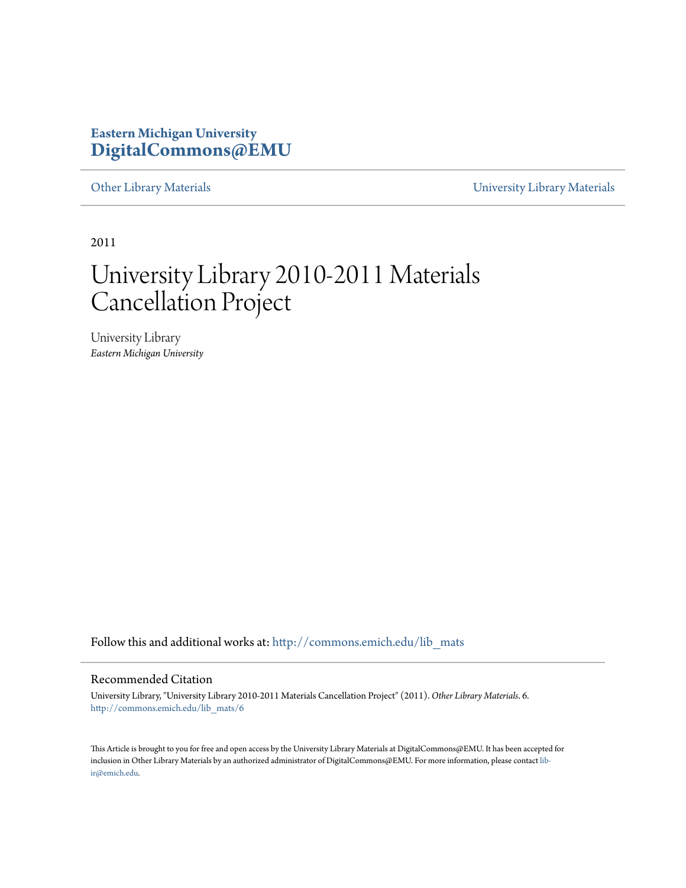## **Eastern Michigan University [DigitalCommons@EMU](http://commons.emich.edu?utm_source=commons.emich.edu%2Flib_mats%2F6&utm_medium=PDF&utm_campaign=PDFCoverPages)**

[Other Library Materials](http://commons.emich.edu/lib_mats?utm_source=commons.emich.edu%2Flib_mats%2F6&utm_medium=PDF&utm_campaign=PDFCoverPages) **Discription Control** [University Library Materials](http://commons.emich.edu/univ_library?utm_source=commons.emich.edu%2Flib_mats%2F6&utm_medium=PDF&utm_campaign=PDFCoverPages)

2011

# University Library 2010-2011 Materials Cancellation Project

University Library *Eastern Michigan University*

Follow this and additional works at: [http://commons.emich.edu/lib\\_mats](http://commons.emich.edu/lib_mats?utm_source=commons.emich.edu%2Flib_mats%2F6&utm_medium=PDF&utm_campaign=PDFCoverPages)

#### Recommended Citation

University Library, "University Library 2010-2011 Materials Cancellation Project" (2011). *Other Library Materials*. 6. [http://commons.emich.edu/lib\\_mats/6](http://commons.emich.edu/lib_mats/6?utm_source=commons.emich.edu%2Flib_mats%2F6&utm_medium=PDF&utm_campaign=PDFCoverPages)

This Article is brought to you for free and open access by the University Library Materials at DigitalCommons@EMU. It has been accepted for inclusion in Other Library Materials by an authorized administrator of DigitalCommons@EMU. For more information, please contact [lib](mailto:lib-ir@emich.edu)[ir@emich.edu](mailto:lib-ir@emich.edu).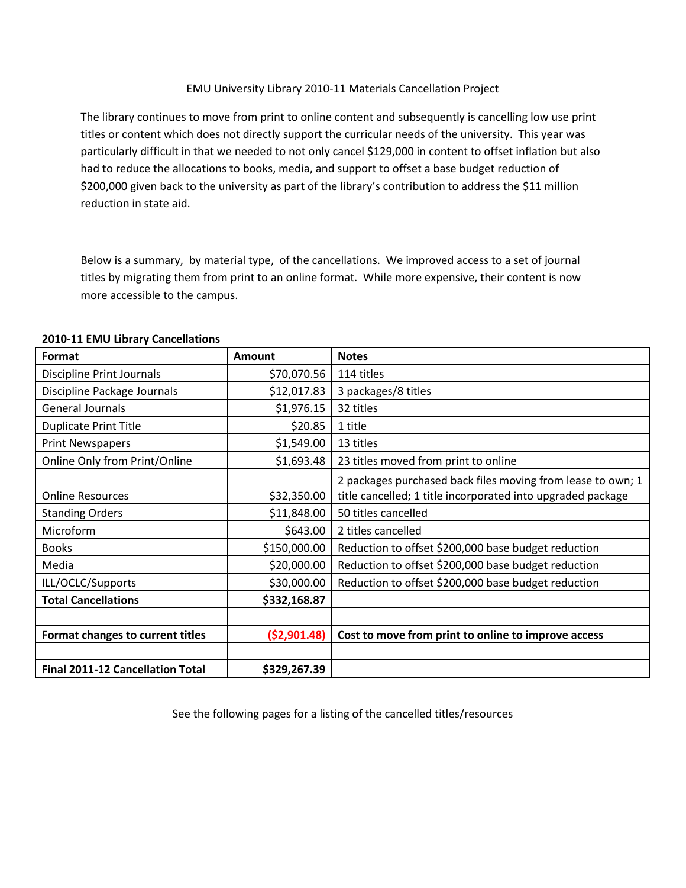### EMU University Library 2010-11 Materials Cancellation Project

The library continues to move from print to online content and subsequently is cancelling low use print titles or content which does not directly support the curricular needs of the university. This year was particularly difficult in that we needed to not only cancel \$129,000 in content to offset inflation but also had to reduce the allocations to books, media, and support to offset a base budget reduction of \$200,000 given back to the university as part of the library's contribution to address the \$11 million reduction in state aid.

Below is a summary, by material type, of the cancellations. We improved access to a set of journal titles by migrating them from print to an online format. While more expensive, their content is now more accessible to the campus.

| <b>Format</b>                           | Amount        | <b>Notes</b>                                                |
|-----------------------------------------|---------------|-------------------------------------------------------------|
| <b>Discipline Print Journals</b>        | \$70,070.56   | 114 titles                                                  |
| Discipline Package Journals             | \$12,017.83   | 3 packages/8 titles                                         |
| <b>General Journals</b>                 | \$1,976.15    | 32 titles                                                   |
| <b>Duplicate Print Title</b>            | \$20.85       | 1 title                                                     |
| <b>Print Newspapers</b>                 | \$1,549.00    | 13 titles                                                   |
| Online Only from Print/Online           | \$1,693.48    | 23 titles moved from print to online                        |
|                                         |               | 2 packages purchased back files moving from lease to own; 1 |
| <b>Online Resources</b>                 | \$32,350.00   | title cancelled; 1 title incorporated into upgraded package |
| <b>Standing Orders</b>                  | \$11,848.00   | 50 titles cancelled                                         |
| Microform                               | \$643.00      | 2 titles cancelled                                          |
| <b>Books</b>                            | \$150,000.00  | Reduction to offset \$200,000 base budget reduction         |
| Media                                   | \$20,000.00   | Reduction to offset \$200,000 base budget reduction         |
| ILL/OCLC/Supports                       | \$30,000.00   | Reduction to offset \$200,000 base budget reduction         |
| <b>Total Cancellations</b>              | \$332,168.87  |                                                             |
|                                         |               |                                                             |
| Format changes to current titles        | ( \$2,901.48) | Cost to move from print to online to improve access         |
|                                         |               |                                                             |
| <b>Final 2011-12 Cancellation Total</b> | \$329,267.39  |                                                             |

#### **2010-11 EMU Library Cancellations**

See the following pages for a listing of the cancelled titles/resources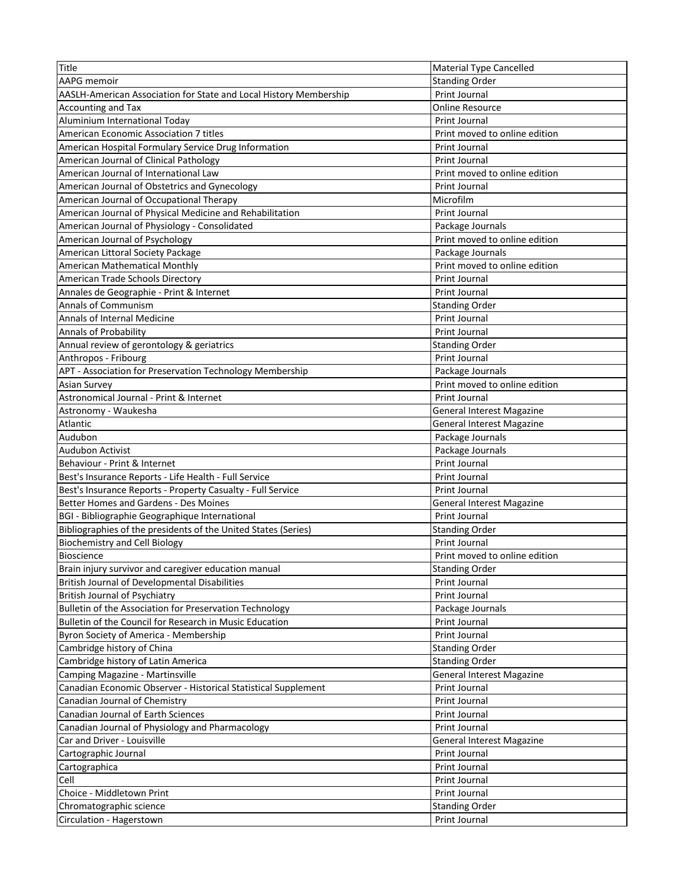| Title                                                             | <b>Material Type Cancelled</b>   |
|-------------------------------------------------------------------|----------------------------------|
| AAPG memoir                                                       | <b>Standing Order</b>            |
| AASLH-American Association for State and Local History Membership | Print Journal                    |
| Accounting and Tax                                                | <b>Online Resource</b>           |
| Aluminium International Today                                     | <b>Print Journal</b>             |
| American Economic Association 7 titles                            | Print moved to online edition    |
| American Hospital Formulary Service Drug Information              | Print Journal                    |
| American Journal of Clinical Pathology                            | Print Journal                    |
| American Journal of International Law                             | Print moved to online edition    |
| American Journal of Obstetrics and Gynecology                     | <b>Print Journal</b>             |
| American Journal of Occupational Therapy                          | Microfilm                        |
| American Journal of Physical Medicine and Rehabilitation          | Print Journal                    |
| American Journal of Physiology - Consolidated                     | Package Journals                 |
| American Journal of Psychology                                    | Print moved to online edition    |
| American Littoral Society Package                                 | Package Journals                 |
| American Mathematical Monthly                                     | Print moved to online edition    |
| American Trade Schools Directory                                  | Print Journal                    |
| Annales de Geographie - Print & Internet                          | Print Journal                    |
| <b>Annals of Communism</b>                                        | <b>Standing Order</b>            |
| <b>Annals of Internal Medicine</b>                                | Print Journal                    |
| Annals of Probability                                             | <b>Print Journal</b>             |
| Annual review of gerontology & geriatrics                         | <b>Standing Order</b>            |
| Anthropos - Fribourg                                              | Print Journal                    |
| APT - Association for Preservation Technology Membership          | Package Journals                 |
| <b>Asian Survey</b>                                               | Print moved to online edition    |
| Astronomical Journal - Print & Internet                           | Print Journal                    |
| Astronomy - Waukesha                                              | <b>General Interest Magazine</b> |
| Atlantic                                                          | General Interest Magazine        |
| Audubon                                                           | Package Journals                 |
| Audubon Activist                                                  | Package Journals                 |
| Behaviour - Print & Internet                                      | Print Journal                    |
| Best's Insurance Reports - Life Health - Full Service             | Print Journal                    |
| Best's Insurance Reports - Property Casualty - Full Service       | Print Journal                    |
| Better Homes and Gardens - Des Moines                             | <b>General Interest Magazine</b> |
| BGI - Bibliographie Geographique International                    | Print Journal                    |
| Bibliographies of the presidents of the United States (Series)    | <b>Standing Order</b>            |
| <b>Biochemistry and Cell Biology</b>                              | Print Journal                    |
| <b>Bioscience</b>                                                 | Print moved to online edition    |
| Brain injury survivor and caregiver education manual              | <b>Standing Order</b>            |
| <b>British Journal of Developmental Disabilities</b>              | Print Journal                    |
| <b>British Journal of Psychiatry</b>                              | Print Journal                    |
| Bulletin of the Association for Preservation Technology           | Package Journals                 |
| Bulletin of the Council for Research in Music Education           | Print Journal                    |
| Byron Society of America - Membership                             | <b>Print Journal</b>             |
| Cambridge history of China                                        | <b>Standing Order</b>            |
| Cambridge history of Latin America                                | <b>Standing Order</b>            |
| Camping Magazine - Martinsville                                   | <b>General Interest Magazine</b> |
| Canadian Economic Observer - Historical Statistical Supplement    | Print Journal                    |
| Canadian Journal of Chemistry                                     | Print Journal                    |
| <b>Canadian Journal of Earth Sciences</b>                         | Print Journal                    |
| Canadian Journal of Physiology and Pharmacology                   | Print Journal                    |
| Car and Driver - Louisville                                       | <b>General Interest Magazine</b> |
| Cartographic Journal                                              | Print Journal                    |
| Cartographica                                                     | Print Journal                    |
| Cell                                                              | Print Journal                    |
| Choice - Middletown Print                                         | Print Journal                    |
| Chromatographic science                                           | <b>Standing Order</b>            |
| Circulation - Hagerstown                                          | Print Journal                    |
|                                                                   |                                  |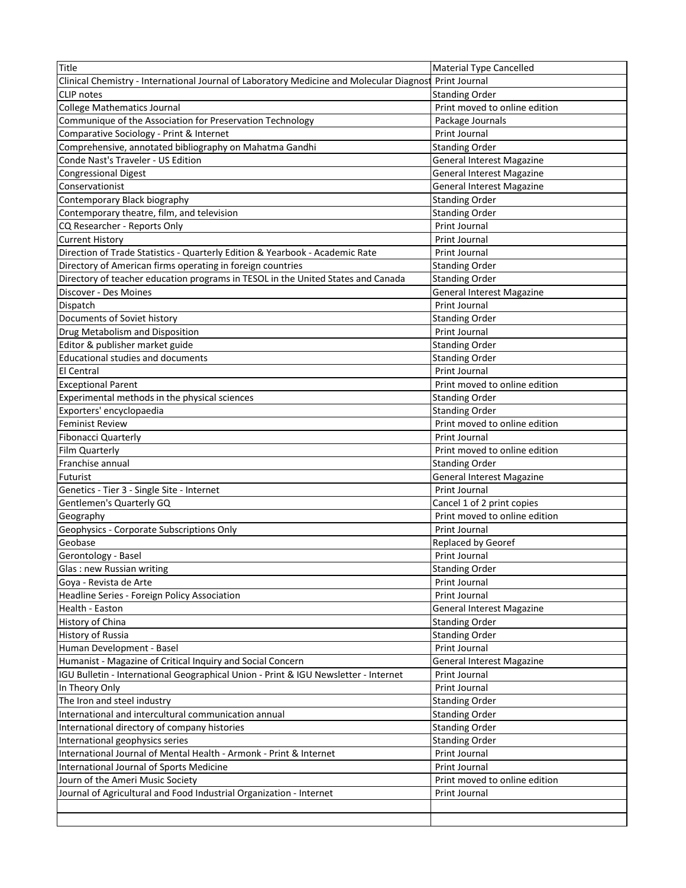| Title                                                                                    | <b>Material Type Cancelled</b>   |
|------------------------------------------------------------------------------------------|----------------------------------|
| Clinical Chemistry - International Journal of Laboratory Medicine and Molecular Diagnost | Print Journal                    |
| <b>CLIP</b> notes                                                                        | <b>Standing Order</b>            |
| <b>College Mathematics Journal</b>                                                       | Print moved to online edition    |
| Communique of the Association for Preservation Technology                                | Package Journals                 |
| Comparative Sociology - Print & Internet                                                 | Print Journal                    |
| Comprehensive, annotated bibliography on Mahatma Gandhi                                  | <b>Standing Order</b>            |
| Conde Nast's Traveler - US Edition                                                       | <b>General Interest Magazine</b> |
| <b>Congressional Digest</b>                                                              | <b>General Interest Magazine</b> |
| Conservationist                                                                          | <b>General Interest Magazine</b> |
| Contemporary Black biography                                                             | <b>Standing Order</b>            |
| Contemporary theatre, film, and television                                               | <b>Standing Order</b>            |
| CQ Researcher - Reports Only                                                             | Print Journal                    |
| <b>Current History</b>                                                                   | Print Journal                    |
| Direction of Trade Statistics - Quarterly Edition & Yearbook - Academic Rate             | Print Journal                    |
| Directory of American firms operating in foreign countries                               | <b>Standing Order</b>            |
| Directory of teacher education programs in TESOL in the United States and Canada         | <b>Standing Order</b>            |
| Discover - Des Moines                                                                    | <b>General Interest Magazine</b> |
| Dispatch                                                                                 | Print Journal                    |
| Documents of Soviet history                                                              | <b>Standing Order</b>            |
| Drug Metabolism and Disposition                                                          | Print Journal                    |
| Editor & publisher market guide                                                          | <b>Standing Order</b>            |
| Educational studies and documents                                                        | <b>Standing Order</b>            |
| <b>El Central</b>                                                                        | Print Journal                    |
| <b>Exceptional Parent</b>                                                                | Print moved to online edition    |
| Experimental methods in the physical sciences                                            | <b>Standing Order</b>            |
| Exporters' encyclopaedia                                                                 | <b>Standing Order</b>            |
| <b>Feminist Review</b>                                                                   | Print moved to online edition    |
| <b>Fibonacci Quarterly</b>                                                               | Print Journal                    |
| Film Quarterly                                                                           | Print moved to online edition    |
| Franchise annual                                                                         | <b>Standing Order</b>            |
| Futurist                                                                                 | <b>General Interest Magazine</b> |
| Genetics - Tier 3 - Single Site - Internet                                               | Print Journal                    |
| Gentlemen's Quarterly GQ                                                                 | Cancel 1 of 2 print copies       |
| Geography                                                                                | Print moved to online edition    |
| Geophysics - Corporate Subscriptions Only                                                | Print Journal                    |
| Geobase                                                                                  | Replaced by Georef               |
| Gerontology - Basel                                                                      | Print Journal                    |
| Glas: new Russian writing                                                                | <b>Standing Order</b>            |
| Goya - Revista de Arte                                                                   | Print Journal                    |
| Headline Series - Foreign Policy Association                                             | Print Journal                    |
| Health - Easton                                                                          | <b>General Interest Magazine</b> |
| History of China                                                                         | <b>Standing Order</b>            |
| History of Russia                                                                        | <b>Standing Order</b>            |
| Human Development - Basel                                                                | Print Journal                    |
| Humanist - Magazine of Critical Inquiry and Social Concern                               | <b>General Interest Magazine</b> |
| IGU Bulletin - International Geographical Union - Print & IGU Newsletter - Internet      | Print Journal                    |
| In Theory Only                                                                           | Print Journal                    |
| The Iron and steel industry                                                              | <b>Standing Order</b>            |
| International and intercultural communication annual                                     | <b>Standing Order</b>            |
| International directory of company histories                                             | <b>Standing Order</b>            |
| International geophysics series                                                          | <b>Standing Order</b>            |
| International Journal of Mental Health - Armonk - Print & Internet                       | Print Journal                    |
| International Journal of Sports Medicine                                                 | Print Journal                    |
| Journ of the Ameri Music Society                                                         | Print moved to online edition    |
| Journal of Agricultural and Food Industrial Organization - Internet                      | Print Journal                    |
|                                                                                          |                                  |
|                                                                                          |                                  |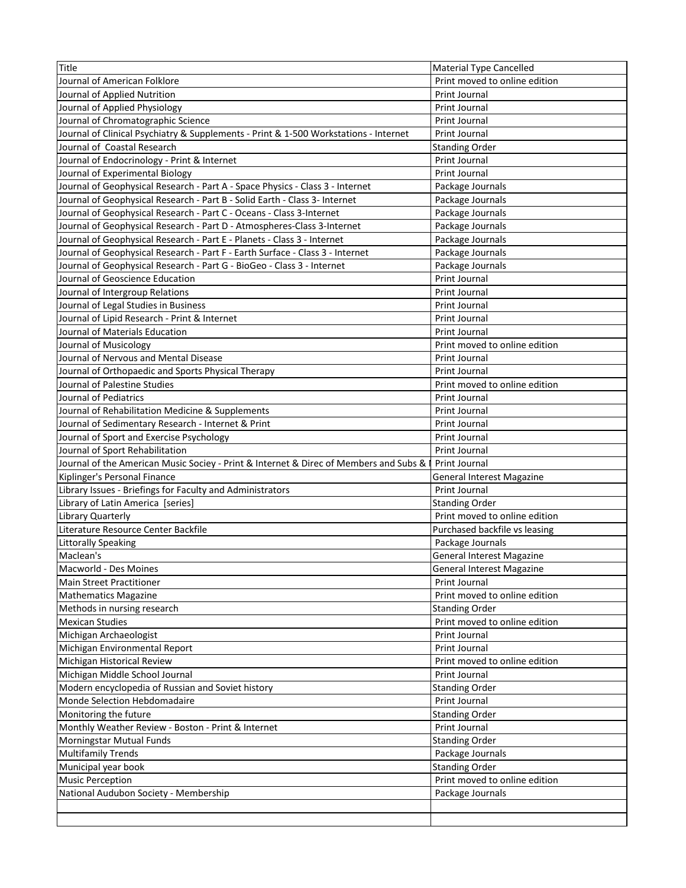| Title                                                                                   | <b>Material Type Cancelled</b>   |
|-----------------------------------------------------------------------------------------|----------------------------------|
| Journal of American Folklore                                                            | Print moved to online edition    |
| Journal of Applied Nutrition                                                            | <b>Print Journal</b>             |
| Journal of Applied Physiology                                                           | Print Journal                    |
| Journal of Chromatographic Science                                                      | Print Journal                    |
| Journal of Clinical Psychiatry & Supplements - Print & 1-500 Workstations - Internet    | Print Journal                    |
| Journal of Coastal Research                                                             | <b>Standing Order</b>            |
| Journal of Endocrinology - Print & Internet                                             | Print Journal                    |
| Journal of Experimental Biology                                                         | Print Journal                    |
| Journal of Geophysical Research - Part A - Space Physics - Class 3 - Internet           | Package Journals                 |
| Journal of Geophysical Research - Part B - Solid Earth - Class 3- Internet              | Package Journals                 |
| Journal of Geophysical Research - Part C - Oceans - Class 3-Internet                    | Package Journals                 |
| Journal of Geophysical Research - Part D - Atmospheres-Class 3-Internet                 | Package Journals                 |
| Journal of Geophysical Research - Part E - Planets - Class 3 - Internet                 | Package Journals                 |
| Journal of Geophysical Research - Part F - Earth Surface - Class 3 - Internet           | Package Journals                 |
| Journal of Geophysical Research - Part G - BioGeo - Class 3 - Internet                  | Package Journals                 |
| Journal of Geoscience Education                                                         | Print Journal                    |
| Journal of Intergroup Relations                                                         | Print Journal                    |
| Journal of Legal Studies in Business                                                    | Print Journal                    |
| Journal of Lipid Research - Print & Internet                                            | Print Journal                    |
| Journal of Materials Education                                                          | Print Journal                    |
| Journal of Musicology                                                                   | Print moved to online edition    |
| Journal of Nervous and Mental Disease                                                   | <b>Print Journal</b>             |
| Journal of Orthopaedic and Sports Physical Therapy                                      | <b>Print Journal</b>             |
| Journal of Palestine Studies                                                            | Print moved to online edition    |
| Journal of Pediatrics                                                                   | Print Journal                    |
| Journal of Rehabilitation Medicine & Supplements                                        | Print Journal                    |
| Journal of Sedimentary Research - Internet & Print                                      | Print Journal                    |
| Journal of Sport and Exercise Psychology                                                | Print Journal                    |
| Journal of Sport Rehabilitation                                                         | Print Journal                    |
| Journal of the American Music Sociey - Print & Internet & Direc of Members and Subs & I | Print Journal                    |
| Kiplinger's Personal Finance                                                            | <b>General Interest Magazine</b> |
| Library Issues - Briefings for Faculty and Administrators                               | Print Journal                    |
| Library of Latin America [series]                                                       | <b>Standing Order</b>            |
| Library Quarterly                                                                       | Print moved to online edition    |
| Literature Resource Center Backfile                                                     | Purchased backfile vs leasing    |
| <b>Littorally Speaking</b>                                                              | Package Journals                 |
| Maclean's                                                                               | <b>General Interest Magazine</b> |
| Macworld - Des Moines                                                                   | General Interest Magazine        |
| <b>Main Street Practitioner</b>                                                         | Print Journal                    |
| <b>Mathematics Magazine</b>                                                             | Print moved to online edition    |
| Methods in nursing research                                                             | <b>Standing Order</b>            |
| <b>Mexican Studies</b>                                                                  | Print moved to online edition    |
| Michigan Archaeologist                                                                  | Print Journal                    |
| Michigan Environmental Report                                                           | Print Journal                    |
| Michigan Historical Review                                                              | Print moved to online edition    |
| Michigan Middle School Journal                                                          | Print Journal                    |
| Modern encyclopedia of Russian and Soviet history                                       | <b>Standing Order</b>            |
| Monde Selection Hebdomadaire                                                            | Print Journal                    |
| Monitoring the future                                                                   | <b>Standing Order</b>            |
| Monthly Weather Review - Boston - Print & Internet                                      | Print Journal                    |
| Morningstar Mutual Funds                                                                | <b>Standing Order</b>            |
| <b>Multifamily Trends</b>                                                               | Package Journals                 |
| Municipal year book                                                                     | <b>Standing Order</b>            |
| <b>Music Perception</b>                                                                 | Print moved to online edition    |
| National Audubon Society - Membership                                                   | Package Journals                 |
|                                                                                         |                                  |
|                                                                                         |                                  |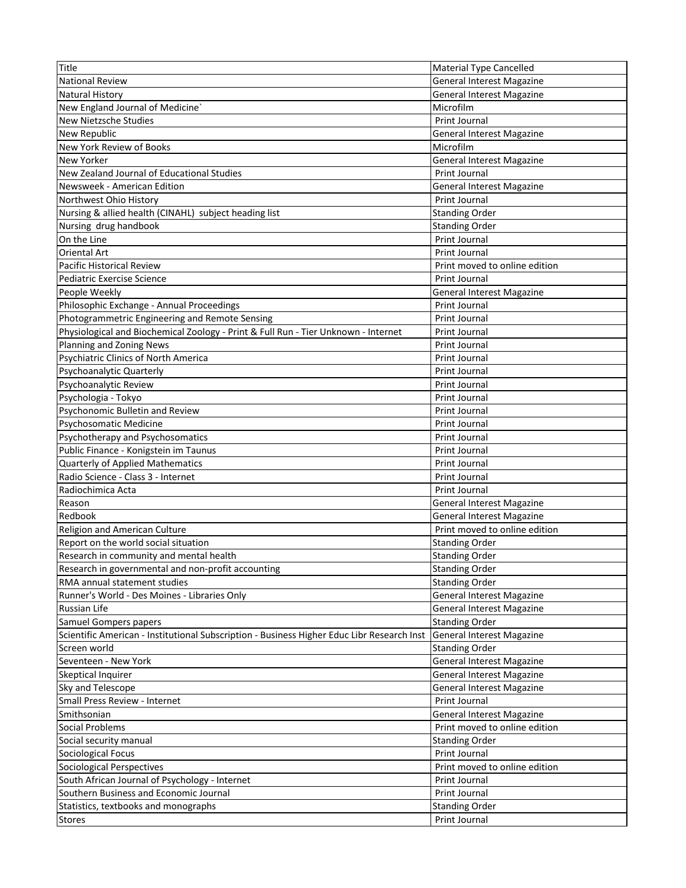| Title                                                                                      | <b>Material Type Cancelled</b>   |
|--------------------------------------------------------------------------------------------|----------------------------------|
| <b>National Review</b>                                                                     | <b>General Interest Magazine</b> |
| <b>Natural History</b>                                                                     | <b>General Interest Magazine</b> |
| New England Journal of Medicine'                                                           | Microfilm                        |
| <b>New Nietzsche Studies</b>                                                               | Print Journal                    |
| New Republic                                                                               | General Interest Magazine        |
| New York Review of Books                                                                   | Microfilm                        |
| New Yorker                                                                                 | General Interest Magazine        |
| New Zealand Journal of Educational Studies                                                 | <b>Print Journal</b>             |
| Newsweek - American Edition                                                                | <b>General Interest Magazine</b> |
| Northwest Ohio History                                                                     | Print Journal                    |
| Nursing & allied health (CINAHL) subject heading list                                      | <b>Standing Order</b>            |
| Nursing drug handbook                                                                      | <b>Standing Order</b>            |
| On the Line                                                                                | Print Journal                    |
| <b>Oriental Art</b>                                                                        |                                  |
|                                                                                            | Print Journal                    |
| Pacific Historical Review                                                                  | Print moved to online edition    |
| Pediatric Exercise Science                                                                 | Print Journal                    |
| People Weekly                                                                              | <b>General Interest Magazine</b> |
| Philosophic Exchange - Annual Proceedings                                                  | Print Journal                    |
| Photogrammetric Engineering and Remote Sensing                                             | <b>Print Journal</b>             |
| Physiological and Biochemical Zoology - Print & Full Run - Tier Unknown - Internet         | Print Journal                    |
| Planning and Zoning News                                                                   | Print Journal                    |
| <b>Psychiatric Clinics of North America</b>                                                | Print Journal                    |
| Psychoanalytic Quarterly                                                                   | Print Journal                    |
| Psychoanalytic Review                                                                      | Print Journal                    |
| Psychologia - Tokyo                                                                        | Print Journal                    |
| Psychonomic Bulletin and Review                                                            | Print Journal                    |
| Psychosomatic Medicine                                                                     | Print Journal                    |
| Psychotherapy and Psychosomatics                                                           | Print Journal                    |
| Public Finance - Konigstein im Taunus                                                      | Print Journal                    |
| Quarterly of Applied Mathematics                                                           | Print Journal                    |
| Radio Science - Class 3 - Internet                                                         | Print Journal                    |
| Radiochimica Acta                                                                          | Print Journal                    |
| Reason                                                                                     | <b>General Interest Magazine</b> |
| Redbook                                                                                    | <b>General Interest Magazine</b> |
| Religion and American Culture                                                              | Print moved to online edition    |
| Report on the world social situation                                                       | <b>Standing Order</b>            |
| Research in community and mental health                                                    | <b>Standing Order</b>            |
| Research in governmental and non-profit accounting                                         | <b>Standing Order</b>            |
| RMA annual statement studies                                                               | <b>Standing Order</b>            |
| Runner's World - Des Moines - Libraries Only                                               | <b>General Interest Magazine</b> |
| <b>Russian Life</b>                                                                        | <b>General Interest Magazine</b> |
| Samuel Gompers papers                                                                      | <b>Standing Order</b>            |
| Scientific American - Institutional Subscription - Business Higher Educ Libr Research Inst | <b>General Interest Magazine</b> |
| Screen world                                                                               | <b>Standing Order</b>            |
| Seventeen - New York                                                                       | <b>General Interest Magazine</b> |
| Skeptical Inquirer                                                                         | General Interest Magazine        |
|                                                                                            |                                  |
| Sky and Telescope                                                                          | General Interest Magazine        |
| Small Press Review - Internet                                                              | Print Journal                    |
| Smithsonian                                                                                | General Interest Magazine        |
| Social Problems                                                                            | Print moved to online edition    |
| Social security manual                                                                     | <b>Standing Order</b>            |
| Sociological Focus                                                                         | Print Journal                    |
| Sociological Perspectives                                                                  | Print moved to online edition    |
| South African Journal of Psychology - Internet                                             | Print Journal                    |
| Southern Business and Economic Journal                                                     | Print Journal                    |
| Statistics, textbooks and monographs                                                       | <b>Standing Order</b>            |
| <b>Stores</b>                                                                              | Print Journal                    |